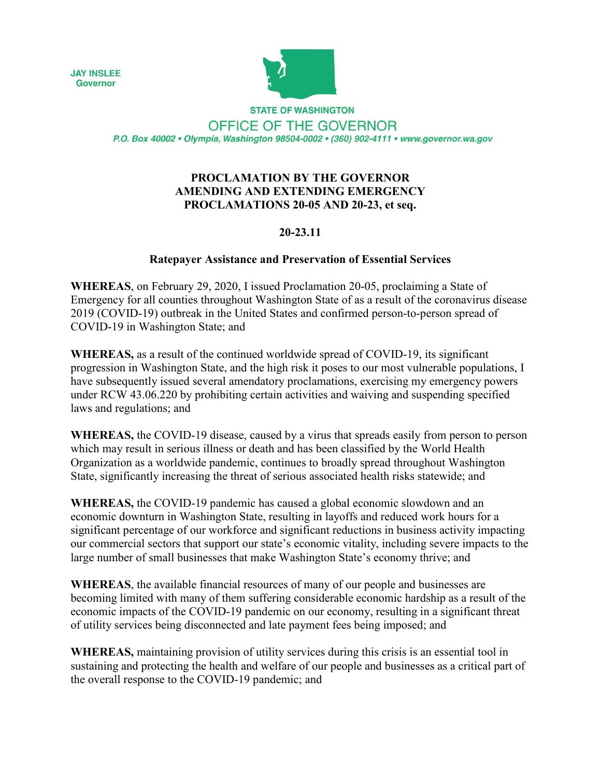**JAY INSLEE Governor** 



**STATE OF WASHINGTON** OFFICE OF THE GOVERNOR P.O. Box 40002 · Olympia, Washington 98504-0002 · (360) 902-4111 · www.governor.wa.gov

## **PROCLAMATION BY THE GOVERNOR AMENDING AND EXTENDING EMERGENCY PROCLAMATIONS 20-05 AND 20-23, et seq.**

## **20-23.11**

## **Ratepayer Assistance and Preservation of Essential Services**

**WHEREAS**, on February 29, 2020, I issued Proclamation 20-05, proclaiming a State of Emergency for all counties throughout Washington State of as a result of the coronavirus disease 2019 (COVID-19) outbreak in the United States and confirmed person-to-person spread of COVID-19 in Washington State; and

**WHEREAS,** as a result of the continued worldwide spread of COVID-19, its significant progression in Washington State, and the high risk it poses to our most vulnerable populations, I have subsequently issued several amendatory proclamations, exercising my emergency powers under RCW 43.06.220 by prohibiting certain activities and waiving and suspending specified laws and regulations; and

**WHEREAS,** the COVID-19 disease, caused by a virus that spreads easily from person to person which may result in serious illness or death and has been classified by the World Health Organization as a worldwide pandemic, continues to broadly spread throughout Washington State, significantly increasing the threat of serious associated health risks statewide; and

**WHEREAS,** the COVID-19 pandemic has caused a global economic slowdown and an economic downturn in Washington State, resulting in layoffs and reduced work hours for a significant percentage of our workforce and significant reductions in business activity impacting our commercial sectors that support our state's economic vitality, including severe impacts to the large number of small businesses that make Washington State's economy thrive; and

**WHEREAS**, the available financial resources of many of our people and businesses are becoming limited with many of them suffering considerable economic hardship as a result of the economic impacts of the COVID-19 pandemic on our economy, resulting in a significant threat of utility services being disconnected and late payment fees being imposed; and

**WHEREAS,** maintaining provision of utility services during this crisis is an essential tool in sustaining and protecting the health and welfare of our people and businesses as a critical part of the overall response to the COVID-19 pandemic; and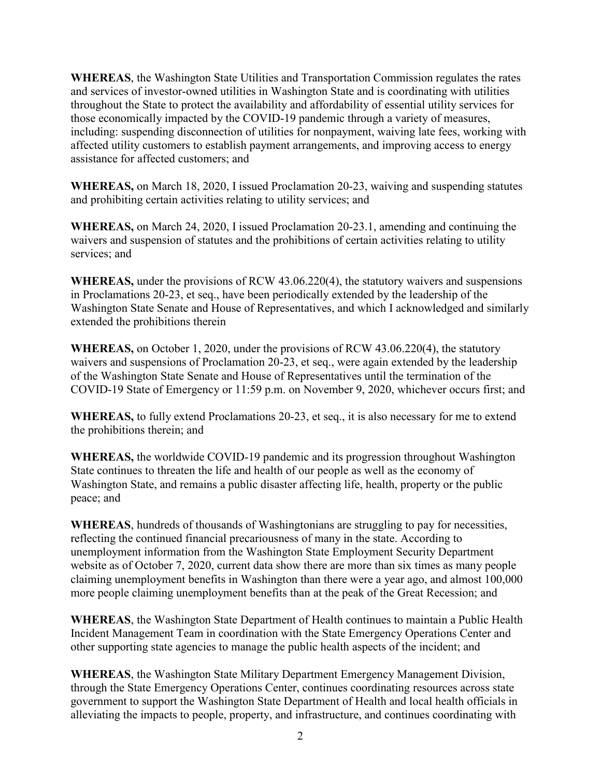**WHEREAS**, the Washington State Utilities and Transportation Commission regulates the rates and services of investor-owned utilities in Washington State and is coordinating with utilities throughout the State to protect the availability and affordability of essential utility services for those economically impacted by the COVID-19 pandemic through a variety of measures, including: suspending disconnection of utilities for nonpayment, waiving late fees, working with affected utility customers to establish payment arrangements, and improving access to energy assistance for affected customers; and

**WHEREAS,** on March 18, 2020, I issued Proclamation 20-23, waiving and suspending statutes and prohibiting certain activities relating to utility services; and

**WHEREAS,** on March 24, 2020, I issued Proclamation 20-23.1, amending and continuing the waivers and suspension of statutes and the prohibitions of certain activities relating to utility services; and

**WHEREAS,** under the provisions of RCW 43.06.220(4), the statutory waivers and suspensions in Proclamations 20-23, et seq., have been periodically extended by the leadership of the Washington State Senate and House of Representatives, and which I acknowledged and similarly extended the prohibitions therein

**WHEREAS,** on October 1, 2020, under the provisions of RCW 43.06.220(4), the statutory waivers and suspensions of Proclamation 20-23, et seq., were again extended by the leadership of the Washington State Senate and House of Representatives until the termination of the COVID-19 State of Emergency or 11:59 p.m. on November 9, 2020, whichever occurs first; and

**WHEREAS,** to fully extend Proclamations 20-23, et seq., it is also necessary for me to extend the prohibitions therein; and

**WHEREAS,** the worldwide COVID-19 pandemic and its progression throughout Washington State continues to threaten the life and health of our people as well as the economy of Washington State, and remains a public disaster affecting life, health, property or the public peace; and

**WHEREAS**, hundreds of thousands of Washingtonians are struggling to pay for necessities, reflecting the continued financial precariousness of many in the state. According to unemployment information from the Washington State Employment Security Department website as of October 7, 2020, current data show there are more than six times as many people claiming unemployment benefits in Washington than there were a year ago, and almost 100,000 more people claiming unemployment benefits than at the peak of the Great Recession; and

**WHEREAS**, the Washington State Department of Health continues to maintain a Public Health Incident Management Team in coordination with the State Emergency Operations Center and other supporting state agencies to manage the public health aspects of the incident; and

**WHEREAS**, the Washington State Military Department Emergency Management Division, through the State Emergency Operations Center, continues coordinating resources across state government to support the Washington State Department of Health and local health officials in alleviating the impacts to people, property, and infrastructure, and continues coordinating with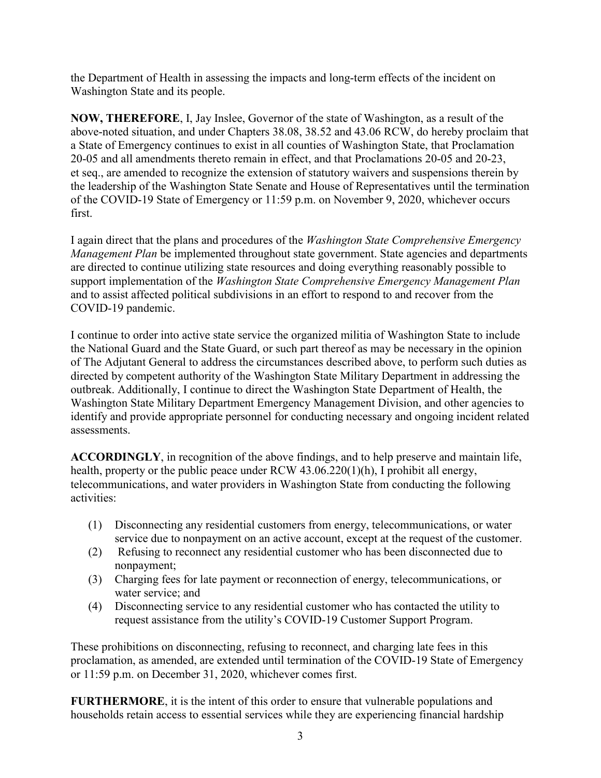the Department of Health in assessing the impacts and long-term effects of the incident on Washington State and its people.

**NOW, THEREFORE**, I, Jay Inslee, Governor of the state of Washington, as a result of the above-noted situation, and under Chapters 38.08, 38.52 and 43.06 RCW, do hereby proclaim that a State of Emergency continues to exist in all counties of Washington State, that Proclamation 20-05 and all amendments thereto remain in effect, and that Proclamations 20-05 and 20-23, et seq., are amended to recognize the extension of statutory waivers and suspensions therein by the leadership of the Washington State Senate and House of Representatives until the termination of the COVID-19 State of Emergency or 11:59 p.m. on November 9, 2020, whichever occurs first.

I again direct that the plans and procedures of the *Washington State Comprehensive Emergency Management Plan* be implemented throughout state government. State agencies and departments are directed to continue utilizing state resources and doing everything reasonably possible to support implementation of the *Washington State Comprehensive Emergency Management Plan* and to assist affected political subdivisions in an effort to respond to and recover from the COVID-19 pandemic.

I continue to order into active state service the organized militia of Washington State to include the National Guard and the State Guard, or such part thereof as may be necessary in the opinion of The Adjutant General to address the circumstances described above, to perform such duties as directed by competent authority of the Washington State Military Department in addressing the outbreak. Additionally, I continue to direct the Washington State Department of Health, the Washington State Military Department Emergency Management Division, and other agencies to identify and provide appropriate personnel for conducting necessary and ongoing incident related assessments.

**ACCORDINGLY**, in recognition of the above findings, and to help preserve and maintain life, health, property or the public peace under RCW 43.06.220(1)(h), I prohibit all energy, telecommunications, and water providers in Washington State from conducting the following activities:

- (1) Disconnecting any residential customers from energy, telecommunications, or water service due to nonpayment on an active account, except at the request of the customer.
- (2) Refusing to reconnect any residential customer who has been disconnected due to nonpayment;
- (3) Charging fees for late payment or reconnection of energy, telecommunications, or water service; and
- (4) Disconnecting service to any residential customer who has contacted the utility to request assistance from the utility's COVID-19 Customer Support Program.

These prohibitions on disconnecting, refusing to reconnect, and charging late fees in this proclamation, as amended, are extended until termination of the COVID-19 State of Emergency or 11:59 p.m. on December 31, 2020, whichever comes first.

**FURTHERMORE**, it is the intent of this order to ensure that vulnerable populations and households retain access to essential services while they are experiencing financial hardship